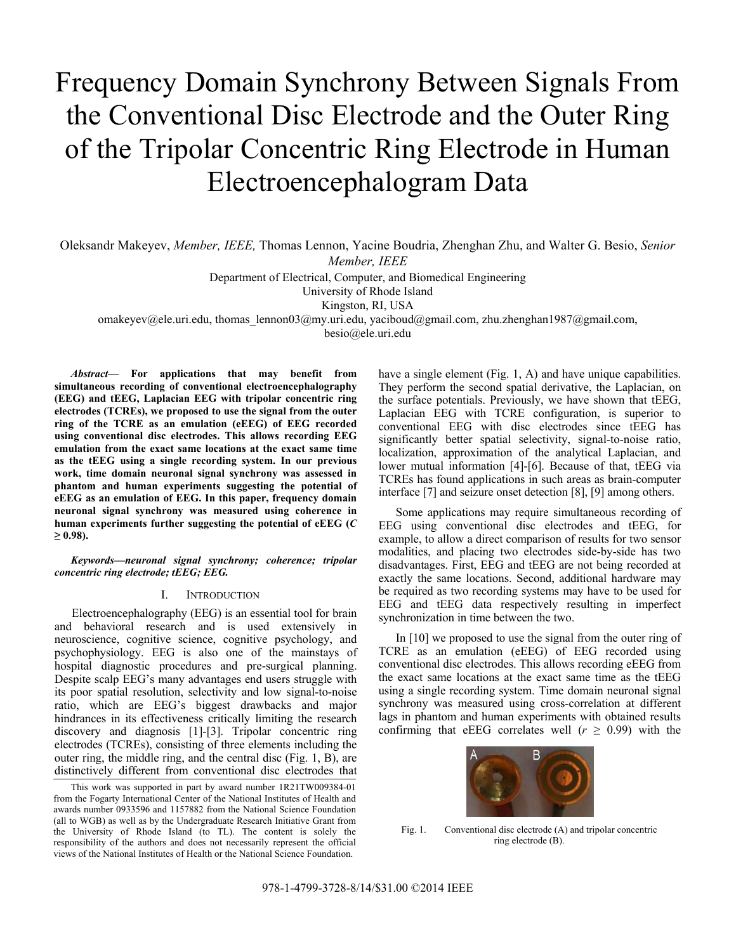# Frequency Domain Synchrony Between Signals From the Conventional Disc Electrode and the Outer Ring of the Tripolar Concentric Ring Electrode in Human Electroencephalogram Data

Oleksandr Makeyev, *Member, IEEE,* Thomas Lennon, Yacine Boudria, Zhenghan Zhu, and Walter G. Besio, *Senior Member, IEEE*

Department of Electrical, Computer, and Biomedical Engineering

University of Rhode Island

Kingston, RI, USA

omakeyev@ele.uri.edu, thomas\_lennon03@my.uri.edu, yaciboud@gmail.com, zhu.zhenghan1987@gmail.com,

besio@ele.uri.edu

*Abstract***— For applications that may benefit from simultaneous recording of conventional electroencephalography (EEG) and tEEG, Laplacian EEG with tripolar concentric ring electrodes (TCREs), we proposed to use the signal from the outer ring of the TCRE as an emulation (eEEG) of EEG recorded using conventional disc electrodes. This allows recording EEG emulation from the exact same locations at the exact same time as the tEEG using a single recording system. In our previous work, time domain neuronal signal synchrony was assessed in phantom and human experiments suggesting the potential of eEEG as an emulation of EEG. In this paper, frequency domain neuronal signal synchrony was measured using coherence in human experiments further suggesting the potential of eEEG (***C* **≥ 0.98).** 

*Keywords—neuronal signal synchrony; coherence; tripolar concentric ring electrode; tEEG; EEG.* 

## I. INTRODUCTION

Electroencephalography (EEG) is an essential tool for brain and behavioral research and is used extensively in neuroscience, cognitive science, cognitive psychology, and psychophysiology. EEG is also one of the mainstays of hospital diagnostic procedures and pre-surgical planning. Despite scalp EEG's many advantages end users struggle with its poor spatial resolution, selectivity and low signal-to-noise ratio, which are EEG's biggest drawbacks and major hindrances in its effectiveness critically limiting the research discovery and diagnosis [1]-[3]. Tripolar concentric ring electrodes (TCREs), consisting of three elements including the outer ring, the middle ring, and the central disc (Fig. 1, B), are distinctively different from conventional disc electrodes that

This work was supported in part by award number 1R21TW009384-01 from the Fogarty International Center of the National Institutes of Health and awards number 0933596 and 1157882 from the National Science Foundation (all to WGB) as well as by the Undergraduate Research Initiative Grant from the University of Rhode Island (to TL). The content is solely the responsibility of the authors and does not necessarily represent the official views of the National Institutes of Health or the National Science Foundation.

have a single element (Fig. 1, A) and have unique capabilities. They perform the second spatial derivative, the Laplacian, on the surface potentials. Previously, we have shown that tEEG, Laplacian EEG with TCRE configuration, is superior to conventional EEG with disc electrodes since tEEG has significantly better spatial selectivity, signal-to-noise ratio, localization, approximation of the analytical Laplacian, and lower mutual information [4]-[6]. Because of that, tEEG via TCREs has found applications in such areas as brain-computer interface [7] and seizure onset detection [8], [9] among others.

Some applications may require simultaneous recording of EEG using conventional disc electrodes and tEEG, for example, to allow a direct comparison of results for two sensor modalities, and placing two electrodes side-by-side has two disadvantages. First, EEG and tEEG are not being recorded at exactly the same locations. Second, additional hardware may be required as two recording systems may have to be used for EEG and tEEG data respectively resulting in imperfect synchronization in time between the two.

In [10] we proposed to use the signal from the outer ring of TCRE as an emulation (eEEG) of EEG recorded using conventional disc electrodes. This allows recording eEEG from the exact same locations at the exact same time as the tEEG using a single recording system. Time domain neuronal signal synchrony was measured using cross-correlation at different lags in phantom and human experiments with obtained results confirming that eEEG correlates well  $(r \geq 0.99)$  with the



Fig. 1. Conventional disc electrode (A) and tripolar concentric ring electrode (B).